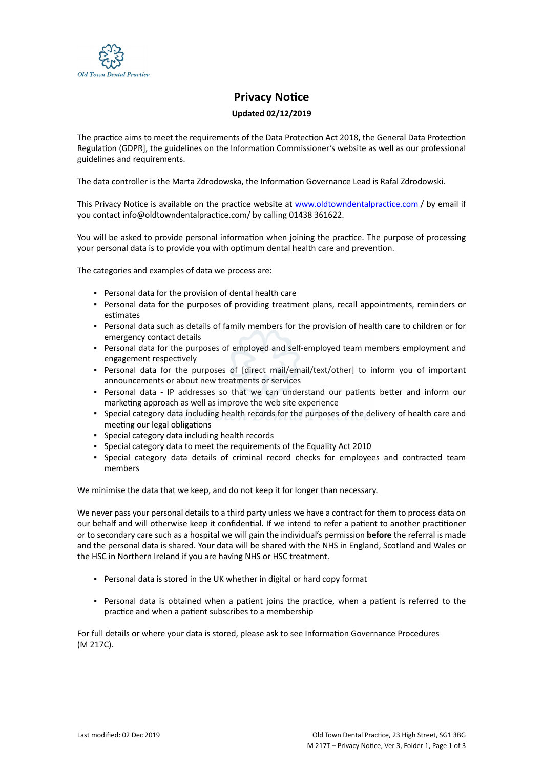

## **Privacy Notice**

## **Updated 02/12/2019**

The practice aims to meet the requirements of the Data Protection Act 2018, the General Data Protection Regulation (GDPR], the guidelines on the Information Commissioner's website as well as our professional guidelines and requirements.

The data controller is the Marta Zdrodowska, the Information Governance Lead is Rafal Zdrodowski.

This Privacy Notice is available on the practice website at [www.oldtowndentalpractice.com](https://dental.icomply.org/api/export/render/5c042166-e959-4b9b-860f-f462f4a6598b/www.practice.com/privacynotice) / by email if you contact info@oldtowndentalpractice.com/ by calling 01438 361622.

You will be asked to provide personal information when joining the practice. The purpose of processing your personal data is to provide you with optimum dental health care and prevention.

The categories and examples of data we process are:

- Personal data for the provision of dental health care
- Personal data for the purposes of providing treatment plans, recall appointments, reminders or estimates
- Personal data such as details of family members for the provision of health care to children or for emergency contact details
- Personal data for the purposes of employed and self-employed team members employment and engagement respectively
- Personal data for the purposes of [direct mail/email/text/other] to inform you of important announcements or about new treatments or services
- Personal data IP addresses so that we can understand our patients better and inform our marketing approach as well as improve the web site experience
- Special category data including health records for the purposes of the delivery of health care and meeting our legal obligations
- Special category data including health records
- Special category data to meet the requirements of the Equality Act 2010
- Special category data details of criminal record checks for employees and contracted team members

We minimise the data that we keep, and do not keep it for longer than necessary.

We never pass your personal details to a third party unless we have a contract for them to process data on our behalf and will otherwise keep it confidential. If we intend to refer a patient to another practitioner or to secondary care such as a hospital we will gain the individual's permission **before** the referral is made and the personal data is shared. Your data will be shared with the NHS in England, Scotland and Wales or the HSC in Northern Ireland if you are having NHS or HSC treatment.

- Personal data is stored in the UK whether in digital or hard copy format
- Personal data is obtained when a patient joins the practice, when a patient is referred to the practice and when a patient subscribes to a membership

For full details or where your data is stored, please ask to see Information Governance Procedures (M 217C).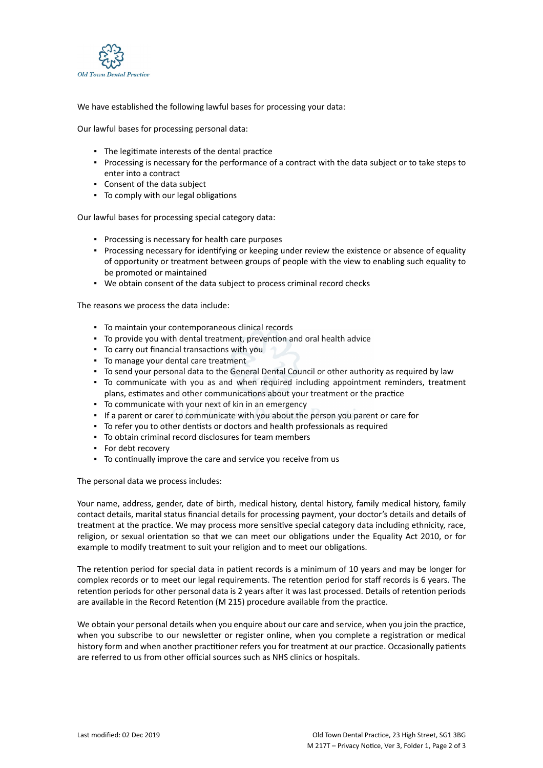

We have established the following lawful bases for processing your data:

Our lawful bases for processing personal data:

- The legitimate interests of the dental practice
- Processing is necessary for the performance of a contract with the data subject or to take steps to enter into a contract
- Consent of the data subject
- To comply with our legal obligations

Our lawful bases for processing special category data:

- Processing is necessary for health care purposes
- Processing necessary for identifying or keeping under review the existence or absence of equality of opportunity or treatment between groups of people with the view to enabling such equality to be promoted or maintained
- We obtain consent of the data subject to process criminal record checks

The reasons we process the data include:

- To maintain your contemporaneous clinical records
- To provide you with dental treatment, prevention and oral health advice
- To carry out financial transactions with you
- To manage your dental care treatment
- To send your personal data to the General Dental Council or other authority as required by law
- To communicate with you as and when required including appointment reminders, treatment plans, estimates and other communications about your treatment or the practice
- To communicate with your next of kin in an emergency
- If a parent or carer to communicate with you about the person you parent or care for
- To refer you to other dentists or doctors and health professionals as required
- To obtain criminal record disclosures for team members
- For debt recovery
- To continually improve the care and service you receive from us

The personal data we process includes:

Your name, address, gender, date of birth, medical history, dental history, family medical history, family contact details, marital status financial details for processing payment, your doctor's details and details of treatment at the practice. We may process more sensitive special category data including ethnicity, race, religion, or sexual orientation so that we can meet our obligations under the Equality Act 2010, or for example to modify treatment to suit your religion and to meet our obligations.

The retention period for special data in patient records is a minimum of 10 years and may be longer for complex records or to meet our legal requirements. The retention period for staff records is 6 years. The retention periods for other personal data is 2 years after it was last processed. Details of retention periods are available in the Record Retention (M 215) procedure available from the practice.

We obtain your personal details when you enquire about our care and service, when you join the practice, when you subscribe to our newsletter or register online, when you complete a registration or medical history form and when another practitioner refers you for treatment at our practice. Occasionally patients are referred to us from other official sources such as NHS clinics or hospitals.